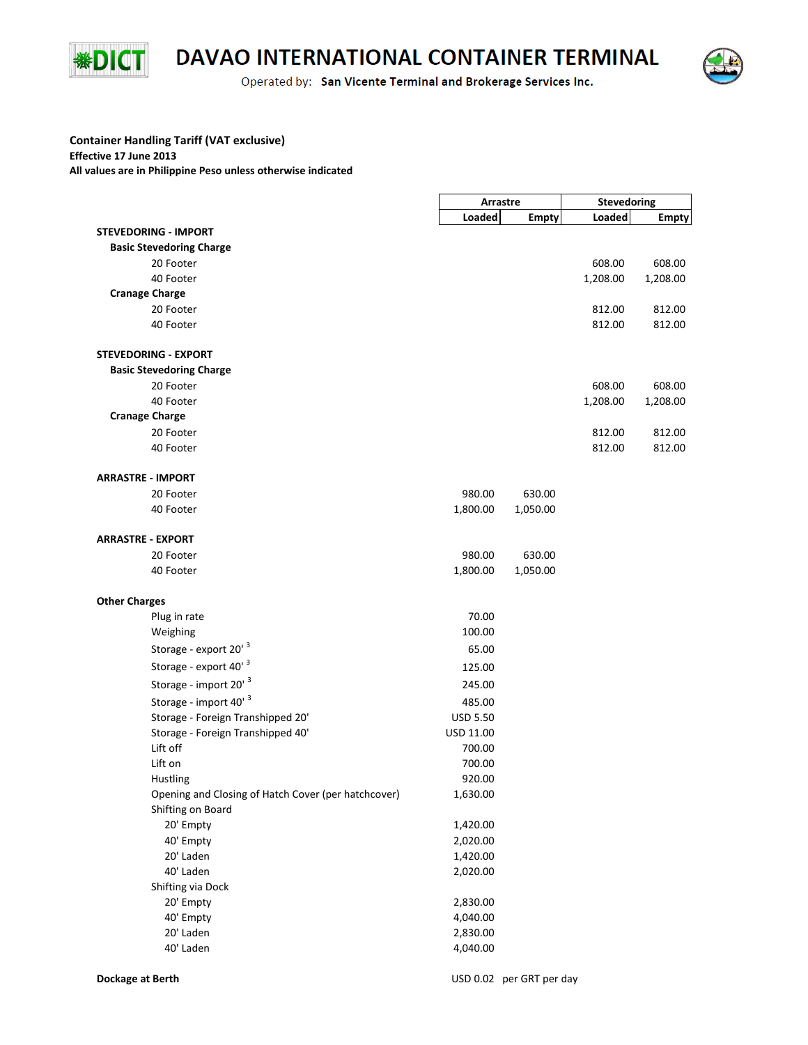

## DAVAO INTERNATIONAL CONTAINER TERMINAL

Operated by: San Vicente Terminal and Brokerage Services Inc.



## **Container Handling Tariff (VAT exclusive) Effective 17 June 2013 All values are in Philippine Peso unless otherwise indicated**

|                                                     | Arrastre         |              | <b>Stevedoring</b> |              |
|-----------------------------------------------------|------------------|--------------|--------------------|--------------|
|                                                     | Loaded           | <b>Empty</b> | Loaded             | <b>Empty</b> |
| <b>STEVEDORING - IMPORT</b>                         |                  |              |                    |              |
| <b>Basic Stevedoring Charge</b>                     |                  |              |                    |              |
| 20 Footer                                           |                  |              | 608.00             | 608.00       |
| 40 Footer                                           |                  |              | 1,208.00           | 1,208.00     |
| <b>Cranage Charge</b>                               |                  |              |                    |              |
| 20 Footer                                           |                  |              | 812.00             | 812.00       |
| 40 Footer                                           |                  |              | 812.00             | 812.00       |
| <b>STEVEDORING - EXPORT</b>                         |                  |              |                    |              |
| <b>Basic Stevedoring Charge</b>                     |                  |              |                    |              |
| 20 Footer                                           |                  |              | 608.00             | 608.00       |
| 40 Footer                                           |                  |              | 1,208.00           | 1,208.00     |
| <b>Cranage Charge</b>                               |                  |              |                    |              |
| 20 Footer                                           |                  |              | 812.00             | 812.00       |
| 40 Footer                                           |                  |              | 812.00             | 812.00       |
| <b>ARRASTRE - IMPORT</b>                            |                  |              |                    |              |
| 20 Footer                                           | 980.00           | 630.00       |                    |              |
| 40 Footer                                           | 1,800.00         | 1,050.00     |                    |              |
| <b>ARRASTRE - EXPORT</b>                            |                  |              |                    |              |
| 20 Footer                                           | 980.00           | 630.00       |                    |              |
| 40 Footer                                           | 1,800.00         | 1,050.00     |                    |              |
| <b>Other Charges</b>                                |                  |              |                    |              |
| Plug in rate                                        | 70.00            |              |                    |              |
| Weighing                                            | 100.00           |              |                    |              |
| Storage - export 20' 3                              | 65.00            |              |                    |              |
| Storage - export 40' 3                              | 125.00           |              |                    |              |
| Storage - import 20' 3                              |                  |              |                    |              |
|                                                     | 245.00           |              |                    |              |
| Storage - import 40' 3                              | 485.00           |              |                    |              |
| Storage - Foreign Transhipped 20'                   | <b>USD 5.50</b>  |              |                    |              |
| Storage - Foreign Transhipped 40'<br>Lift off       | USD 11.00        |              |                    |              |
| Lift on                                             | 700.00<br>700.00 |              |                    |              |
| Hustling                                            | 920.00           |              |                    |              |
| Opening and Closing of Hatch Cover (per hatchcover) | 1,630.00         |              |                    |              |
| Shifting on Board                                   |                  |              |                    |              |
| 20' Empty                                           | 1,420.00         |              |                    |              |
| 40' Empty                                           | 2,020.00         |              |                    |              |
| 20' Laden                                           | 1,420.00         |              |                    |              |
| 40' Laden                                           | 2,020.00         |              |                    |              |
| Shifting via Dock                                   |                  |              |                    |              |
| 20' Empty                                           | 2,830.00         |              |                    |              |
| 40' Empty                                           | 4,040.00         |              |                    |              |
| 20' Laden                                           | 2,830.00         |              |                    |              |
| 40' Laden                                           | 4,040.00         |              |                    |              |